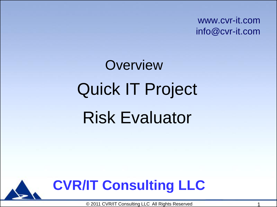www.cvr-it.com info@cvr-it.com

# Quick IT Project Risk Evaluator **Overview**



© 2011 CVR/IT Consulting LLC All Rights Reserved 1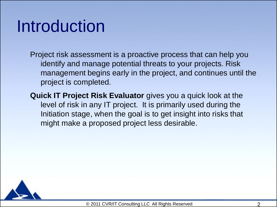## Introduction

Project risk assessment is a proactive process that can help you identify and manage potential threats to your projects. Risk management begins early in the project, and continues until the project is completed.

**Quick IT Project Risk Evaluator** gives you a quick look at the level of risk in any IT project. It is primarily used during the Initiation stage, when the goal is to get insight into risks that might make a proposed project less desirable.

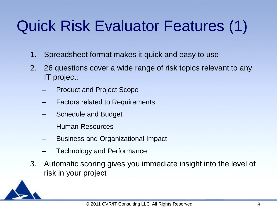## Quick Risk Evaluator Features (1)

- 1. Spreadsheet format makes it quick and easy to use
- 2. 26 questions cover a wide range of risk topics relevant to any IT project:
	- Product and Project Scope
	- Factors related to Requirements
	- Schedule and Budget
	- Human Resources
	- Business and Organizational Impact
	- Technology and Performance
- 3. Automatic scoring gives you immediate insight into the level of risk in your project

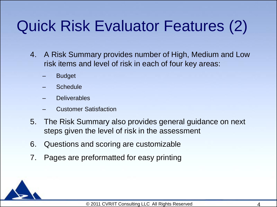## Quick Risk Evaluator Features (2)

- 4. A Risk Summary provides number of High, Medium and Low risk items and level of risk in each of four key areas:
	- **Budget**
	- **Schedule**
	- Deliverables
	- Customer Satisfaction
- 5. The Risk Summary also provides general guidance on next steps given the level of risk in the assessment
- 6. Questions and scoring are customizable
- 7. Pages are preformatted for easy printing

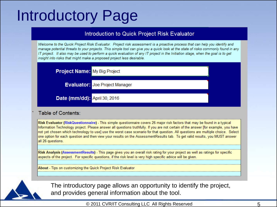### Introductory Page

#### Introduction to Quick Project Risk Evaluator

Welcome to the Quick Project Risk Evaluator. Project risk assessment is a proactive process that can help you identify and manage potential threats to your projects. This simple tool can give you a quick look at the state of risks commonly found in any IT project. It also may be used to perform a quick evaluation of any IT project in the Initiation stage, when the goal is to get insight into risks that might make a proposed project less desirable.

**Project Name:** My Big Project

**Evaluator: Joe Project Manager** 

Date (mm/dd): April 30, 2016

#### Table of Contents:

Risk Evaluator (RiskQuestionnaire) - This simple questionnaire covers 26 major risk factors that may be found in a typical Information Technology project. Please answer all questions truthfully. If you are not certain of the answer [for example, you have not yet chosen which technology to use] use the worst case scenario for that question. All questions are multiple choice. Select one option for each question and then view your results on the AssessmentResults tab. To get valid results, you MUST answer all 26 questions.

Risk Analysis (AssessmentResults) - This page gives you an overall risk rating for your project as well as ratings for specific aspects of the project. For specific questions, if the risk level is very high specific advice will be given.

About - Tips on customizing the Quick Project Risk Evaluator



The introductory page allows an opportunity to identify the project, and provides general information about the tool.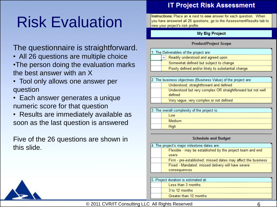## Risk Evaluation

### The questionnaire is straightforward.

- All 26 questions are multiple choice •The person doing the evaluation marks the best answer with an X
- Tool only allows one answer per question
- Each answer generates a unique numeric score for that question
- Results are immediately available as soon as the last question is answered

Five of the 26 questions are shown in this slide.

### **IT Project Risk Assessment**

Instructions: Place an x next to one answer for each question. When you have answered all 26 questions, go to the AssessmentResults tab to view your project's risk profile.

#### **My Big Project**

#### **Product/Project Scope**

| 1. The Deliverables of the project are: |                                                    |  |
|-----------------------------------------|----------------------------------------------------|--|
|                                         | Readily understood and agreed upon                 |  |
|                                         | Somewhat defined but subject to change             |  |
|                                         | Poorly defined and/or likely to substantial change |  |

| [2. The business objectives (Business Value) of the project are: |                                                             |  |
|------------------------------------------------------------------|-------------------------------------------------------------|--|
|                                                                  | Understood, straightforward and defined                     |  |
|                                                                  | Understood but very complex OR straightforward but not well |  |
|                                                                  | defined                                                     |  |
|                                                                  | Very vague, very complex or not defined                     |  |

| The overall complexity of the project is: |               |  |
|-------------------------------------------|---------------|--|
|                                           | l ow          |  |
|                                           | <b>Medium</b> |  |
|                                           | Hiah          |  |

#### **Schedule and Budget**

| 4. The project's major milestone dates are:                  |  |  |
|--------------------------------------------------------------|--|--|
| Flexible - may be established by the project team and end    |  |  |
| users                                                        |  |  |
| Firm - pre-established; missed dates may affect the business |  |  |
| Fixed - Mandated; missed delivery will have severe           |  |  |
| consequences                                                 |  |  |
|                                                              |  |  |

| . Proiect duration is estimated at: |  |  |
|-------------------------------------|--|--|
| Less than 3 months                  |  |  |
| 3 to 12 months                      |  |  |
| Greater than 12 months              |  |  |

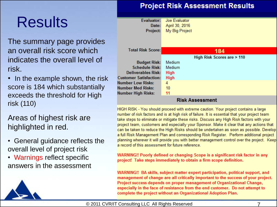## Results

The summary page provides an overall risk score which indicates the overall level of risk.

• In the example shown, the risk score is 184 which substantially exceeds the threshold for High risk (110)

Areas of highest risk are highlighted in red.

- General guidance reflects the overall level of project risk
- Warnings reflect specific answers in the assessment

### **Project Risk Assessment Results**

| Evaluator:                | Joe Evaluator              |  |  |  |
|---------------------------|----------------------------|--|--|--|
| Date:                     | April 30, 2016             |  |  |  |
| Project:                  | My Big Project             |  |  |  |
|                           |                            |  |  |  |
|                           |                            |  |  |  |
|                           |                            |  |  |  |
| <b>Total Risk Score:</b>  | 184                        |  |  |  |
|                           | High Risk Scores are > 110 |  |  |  |
|                           |                            |  |  |  |
| <b>Budget Risk:</b>       | Medium                     |  |  |  |
| <b>Schedule Risk:</b>     | Medium                     |  |  |  |
| <b>Deliverables Risk:</b> | <b>High</b>                |  |  |  |
| istomer Satisfaction:     | <b>High</b>                |  |  |  |
| <b>Imber Low Risks:</b>   | 4                          |  |  |  |
| ımber Med Risks:          | 10                         |  |  |  |
| ımber High Risks:         | 11                         |  |  |  |
|                           |                            |  |  |  |

#### **RISK Assessment**

HIGH RISK - You should proceed with extreme caution. Your project contains a large number of risk factors and is at high risk of failure. It is essential that your project team take steps to eliminate or mitigate these risks. Discuss any High Risk factors with your project team, customers and especially your Sponsor. Make it clear that any actions that can be taken to reduce the High Risks should be undertaken as soon as possible. Develop a full Risk Management Plan and corresponding Risk Register. Perform additional project planning wherever it will provide you with better management control over the project. Keep a record of this assessment for future reference.

WARNING!! Poorly defined or changing Scope is a significant risk factor in any project! Take steps immediately to obtain a firm scope definition.

WARNING!! BA skills, subject matter expert participation, political support, and management of change are all critically important to the success of your project. Project success depends on proper management of Organizational Change, especially in the face of resistance from the end customer. Do not attempt to complete the project without an Organizational Adoption Plan.

#### © 2011 CVR/IT Consulting LLC All Rights Reserved 7

Nu Nι Nι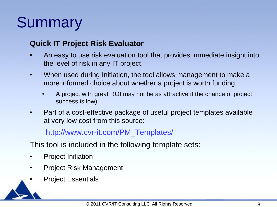## **Summary**

### **Quick IT Project Risk Evaluator**

- An easy to use risk evaluation tool that provides immediate insight into the level of risk in any IT project.
- When used during Initiation, the tool allows management to make a more informed choice about whether a project is worth funding
	- A project with great ROI may not be as attractive if the chance of project success is low).
- Part of a cost-effective package of useful project templates available at very low cost from this source:

### http://www.cvr-it.com/PM\_Templates/

This tool is included in the following template sets:

- Project Initiation
- Project Risk Management
- Project Essentials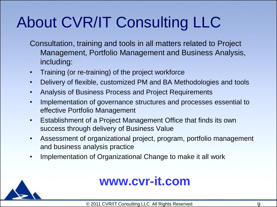## About CVR/IT Consulting LLC

- Consultation, training and tools in all matters related to Project Management, Portfolio Management and Business Analysis, including:
- Training (or re-training) of the project workforce
- Delivery of flexible, customized PM and BA Methodologies and tools
- Analysis of Business Process and Project Requirements
- Implementation of governance structures and processes essential to effective Portfolio Management
- Establishment of a Project Management Office that finds its own success through delivery of Business Value
- Assessment of organizational project, program, portfolio management and business analysis practice
- Implementation of Organizational Change to make it all work



### **www.cvr-it.com**